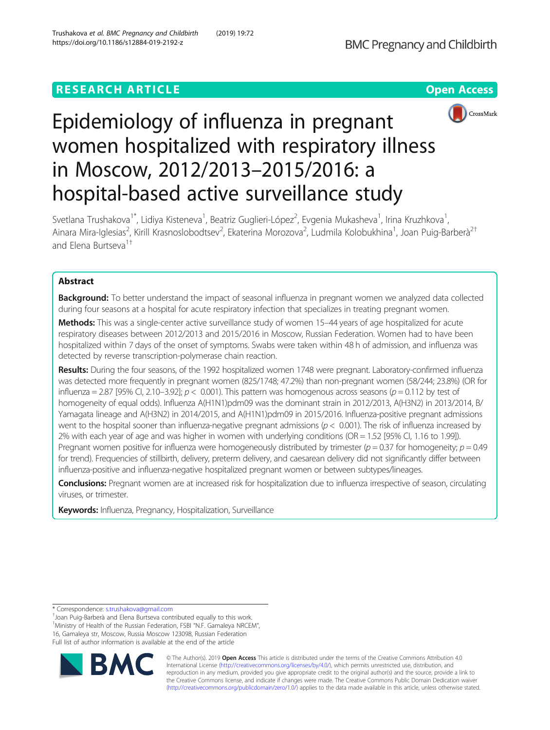## **RESEARCH ARTICLE Example 2014 12:30 The Contract of Contract ACCESS**





# Epidemiology of influenza in pregnant women hospitalized with respiratory illness in Moscow, 2012/2013–2015/2016: a hospital-based active surveillance study

Svetlana Trushakova<sup>1\*</sup>, Lidiya Kisteneva<sup>1</sup>, Beatriz Guglieri-López<sup>2</sup>, Evgenia Mukasheva<sup>1</sup>, Irina Kruzhkova<sup>1</sup> , Ainara Mira-Iglesias<sup>2</sup>, Kirill Krasnoslobodtsev<sup>2</sup>, Ekaterina Morozova<sup>2</sup>, Ludmila Kolobukhina<sup>1</sup>, Joan Puig-Barberà<sup>2†</sup> and Flena Burtseva<sup>1†</sup>

## Abstract

**Background:** To better understand the impact of seasonal influenza in pregnant women we analyzed data collected during four seasons at a hospital for acute respiratory infection that specializes in treating pregnant women.

Methods: This was a single-center active surveillance study of women 15-44 years of age hospitalized for acute respiratory diseases between 2012/2013 and 2015/2016 in Moscow, Russian Federation. Women had to have been hospitalized within 7 days of the onset of symptoms. Swabs were taken within 48 h of admission, and influenza was detected by reverse transcription-polymerase chain reaction.

Results: During the four seasons, of the 1992 hospitalized women 1748 were pregnant. Laboratory-confirmed influenza was detected more frequently in pregnant women (825/1748; 47.2%) than non-pregnant women (58/244; 23.8%) (OR for influenza = 2.87 [95% CI, 2.10-3.92];  $p < 0.001$ ). This pattern was homogenous across seasons ( $p = 0.112$  by test of homogeneity of equal odds). Influenza A(H1N1)pdm09 was the dominant strain in 2012/2013, A(H3N2) in 2013/2014, B/ Yamagata lineage and A(H3N2) in 2014/2015, and A(H1N1)pdm09 in 2015/2016. Influenza-positive pregnant admissions went to the hospital sooner than influenza-negative pregnant admissions ( $p < 0.001$ ). The risk of influenza increased by 2% with each year of age and was higher in women with underlying conditions (OR = 1.52 [95% CI, 1.16 to 1.99]). Pregnant women positive for influenza were homogeneously distributed by trimester ( $p = 0.37$  for homogeneity;  $p = 0.49$ for trend). Frequencies of stillbirth, delivery, preterm delivery, and caesarean delivery did not significantly differ between influenza-positive and influenza-negative hospitalized pregnant women or between subtypes/lineages.

Conclusions: Pregnant women are at increased risk for hospitalization due to influenza irrespective of season, circulating viruses, or trimester.

Keywords: Influenza, Pregnancy, Hospitalization, Surveillance

\* Correspondence: [s.trushakova@gmail.com](mailto:s.trushakova@gmail.com) †

<sup>+</sup>Joan Puig-Barberà and Elena Burtseva contributed equally to this work <sup>1</sup>Ministry of Health of the Russian Federation, FSBI "N.F. Gamaleya NRCEM", 16, Gamaleya str, Moscow, Russia Moscow 123098, Russian Federation Full list of author information is available at the end of the article



© The Author(s). 2019 **Open Access** This article is distributed under the terms of the Creative Commons Attribution 4.0 International License [\(http://creativecommons.org/licenses/by/4.0/](http://creativecommons.org/licenses/by/4.0/)), which permits unrestricted use, distribution, and reproduction in any medium, provided you give appropriate credit to the original author(s) and the source, provide a link to the Creative Commons license, and indicate if changes were made. The Creative Commons Public Domain Dedication waiver [\(http://creativecommons.org/publicdomain/zero/1.0/](http://creativecommons.org/publicdomain/zero/1.0/)) applies to the data made available in this article, unless otherwise stated.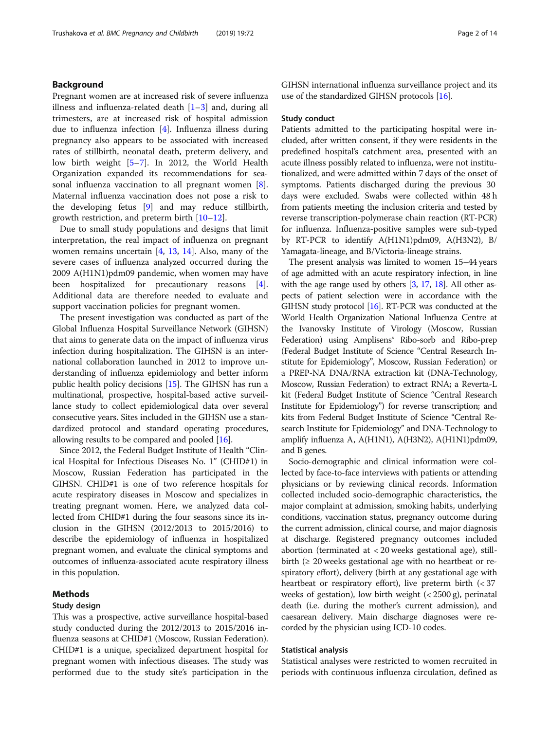## Background

Pregnant women are at increased risk of severe influenza illness and influenza-related death  $[1-3]$  $[1-3]$  $[1-3]$  $[1-3]$  $[1-3]$  and, during all trimesters, are at increased risk of hospital admission due to influenza infection [[4\]](#page-12-0). Influenza illness during pregnancy also appears to be associated with increased rates of stillbirth, neonatal death, preterm delivery, and low birth weight [\[5](#page-12-0)–[7](#page-12-0)]. In 2012, the World Health Organization expanded its recommendations for seasonal influenza vaccination to all pregnant women [\[8](#page-12-0)]. Maternal influenza vaccination does not pose a risk to the developing fetus [[9\]](#page-12-0) and may reduce stillbirth, growth restriction, and preterm birth [\[10](#page-12-0)–[12\]](#page-12-0).

Due to small study populations and designs that limit interpretation, the real impact of influenza on pregnant women remains uncertain [[4](#page-12-0), [13,](#page-12-0) [14](#page-12-0)]. Also, many of the severe cases of influenza analyzed occurred during the 2009 A(H1N1)pdm09 pandemic, when women may have been hospitalized for precautionary reasons [\[4](#page-12-0)]. Additional data are therefore needed to evaluate and support vaccination policies for pregnant women.

The present investigation was conducted as part of the Global Influenza Hospital Surveillance Network (GIHSN) that aims to generate data on the impact of influenza virus infection during hospitalization. The GIHSN is an international collaboration launched in 2012 to improve understanding of influenza epidemiology and better inform public health policy decisions [\[15\]](#page-12-0). The GIHSN has run a multinational, prospective, hospital-based active surveillance study to collect epidemiological data over several consecutive years. Sites included in the GIHSN use a standardized protocol and standard operating procedures, allowing results to be compared and pooled [\[16\]](#page-12-0).

Since 2012, the Federal Budget Institute of Health "Clinical Hospital for Infectious Diseases No. 1" (CHID#1) in Moscow, Russian Federation has participated in the GIHSN. CHID#1 is one of two reference hospitals for acute respiratory diseases in Moscow and specializes in treating pregnant women. Here, we analyzed data collected from CHID#1 during the four seasons since its inclusion in the GIHSN (2012/2013 to 2015/2016) to describe the epidemiology of influenza in hospitalized pregnant women, and evaluate the clinical symptoms and outcomes of influenza-associated acute respiratory illness in this population.

## Methods

## Study design

This was a prospective, active surveillance hospital-based study conducted during the 2012/2013 to 2015/2016 influenza seasons at CHID#1 (Moscow, Russian Federation). CHID#1 is a unique, specialized department hospital for pregnant women with infectious diseases. The study was performed due to the study site's participation in the GIHSN international influenza surveillance project and its use of the standardized GIHSN protocols [\[16](#page-12-0)].

#### Study conduct

Patients admitted to the participating hospital were included, after written consent, if they were residents in the predefined hospital's catchment area, presented with an acute illness possibly related to influenza, were not institutionalized, and were admitted within 7 days of the onset of symptoms. Patients discharged during the previous 30 days were excluded. Swabs were collected within 48 h from patients meeting the inclusion criteria and tested by reverse transcription-polymerase chain reaction (RT-PCR) for influenza. Influenza-positive samples were sub-typed by RT-PCR to identify A(H1N1)pdm09, A(H3N2), B/ Yamagata-lineage, and B/Victoria-lineage strains.

The present analysis was limited to women 15–44 years of age admitted with an acute respiratory infection, in line with the age range used by others [\[3,](#page-12-0) [17](#page-12-0), [18\]](#page-12-0). All other aspects of patient selection were in accordance with the GIHSN study protocol [[16\]](#page-12-0). RT-PCR was conducted at the World Health Organization National Influenza Centre at the Ivanovsky Institute of Virology (Moscow, Russian Federation) using Amplisens® Ribo-sorb and Ribo-prep (Federal Budget Institute of Science "Central Research Institute for Epidemiology", Moscow, Russian Federation) or a PREP-NA DNA/RNA extraction kit (DNA-Technology, Moscow, Russian Federation) to extract RNA; a Reverta-L kit (Federal Budget Institute of Science "Central Research Institute for Epidemiology") for reverse transcription; and kits from Federal Budget Institute of Science "Central Research Institute for Epidemiology" and DNA-Technology to amplify influenza A, A(H1N1), A(H3N2), A(H1N1)pdm09, and B genes.

Socio-demographic and clinical information were collected by face-to-face interviews with patients or attending physicians or by reviewing clinical records. Information collected included socio-demographic characteristics, the major complaint at admission, smoking habits, underlying conditions, vaccination status, pregnancy outcome during the current admission, clinical course, and major diagnosis at discharge. Registered pregnancy outcomes included abortion (terminated at < 20 weeks gestational age), stillbirth ( $\geq 20$  weeks gestational age with no heartbeat or respiratory effort), delivery (birth at any gestational age with heartbeat or respiratory effort), live preterm birth (< 37 weeks of gestation), low birth weight  $( $2500 \text{ g}$ ), perinatal$ death (i.e. during the mother's current admission), and caesarean delivery. Main discharge diagnoses were recorded by the physician using ICD-10 codes.

## Statistical analysis

Statistical analyses were restricted to women recruited in periods with continuous influenza circulation, defined as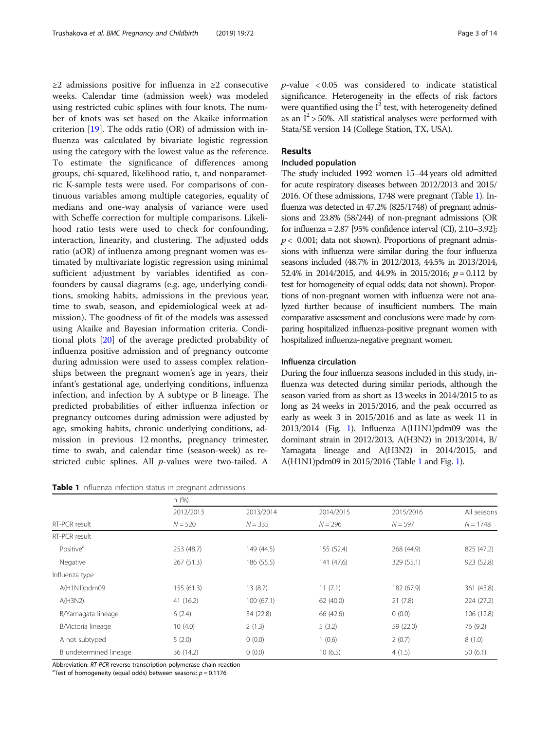≥2 admissions positive for influenza in ≥2 consecutive weeks. Calendar time (admission week) was modeled using restricted cubic splines with four knots. The number of knots was set based on the Akaike information criterion [[19\]](#page-12-0). The odds ratio (OR) of admission with influenza was calculated by bivariate logistic regression using the category with the lowest value as the reference. To estimate the significance of differences among groups, chi-squared, likelihood ratio, t, and nonparametric K-sample tests were used. For comparisons of continuous variables among multiple categories, equality of medians and one-way analysis of variance were used with Scheffe correction for multiple comparisons. Likelihood ratio tests were used to check for confounding, interaction, linearity, and clustering. The adjusted odds ratio (aOR) of influenza among pregnant women was estimated by multivariate logistic regression using minimal sufficient adjustment by variables identified as confounders by causal diagrams (e.g. age, underlying conditions, smoking habits, admissions in the previous year, time to swab, season, and epidemiological week at admission). The goodness of fit of the models was assessed using Akaike and Bayesian information criteria. Conditional plots [\[20](#page-12-0)] of the average predicted probability of influenza positive admission and of pregnancy outcome during admission were used to assess complex relationships between the pregnant women's age in years, their infant's gestational age, underlying conditions, influenza infection, and infection by A subtype or B lineage. The predicted probabilities of either influenza infection or pregnancy outcomes during admission were adjusted by age, smoking habits, chronic underlying conditions, admission in previous 12 months, pregnancy trimester, time to swab, and calendar time (season-week) as restricted cubic splines. All p-values were two-tailed. A

| Table 1 Influenza infection status in pregnant admissions |  |
|-----------------------------------------------------------|--|
|-----------------------------------------------------------|--|

 $p$ -value < 0.05 was considered to indicate statistical significance. Heterogeneity in the effects of risk factors were quantified using the  $I^2$  test, with heterogeneity defined as an  $I^2$  > 50%. All statistical analyses were performed with Stata/SE version 14 (College Station, TX, USA).

## Results

## Included population

The study included 1992 women 15–44 years old admitted for acute respiratory diseases between 2012/2013 and 2015/ 2016. Of these admissions, 1748 were pregnant (Table 1). Influenza was detected in 47.2% (825/1748) of pregnant admissions and 23.8% (58/244) of non-pregnant admissions (OR for influenza =  $2.87$  [95% confidence interval (CI),  $2.10-3.92$ ];  $p < 0.001$ ; data not shown). Proportions of pregnant admissions with influenza were similar during the four influenza seasons included (48.7% in 2012/2013, 44.5% in 2013/2014, 52.4% in 2014/2015, and 44.9% in 2015/2016;  $p = 0.112$  by test for homogeneity of equal odds; data not shown). Proportions of non-pregnant women with influenza were not analyzed further because of insufficient numbers. The main comparative assessment and conclusions were made by comparing hospitalized influenza-positive pregnant women with hospitalized influenza-negative pregnant women.

## Influenza circulation

During the four influenza seasons included in this study, influenza was detected during similar periods, although the season varied from as short as 13 weeks in 2014/2015 to as long as 24 weeks in 2015/2016, and the peak occurred as early as week 3 in 2015/2016 and as late as week 11 in 2013/2014 (Fig. [1](#page-3-0)). Influenza A(H1N1)pdm09 was the dominant strain in 2012/2013, A(H3N2) in 2013/2014, B/ Yamagata lineage and A(H3N2) in 2014/2015, and A(H1N1)pdm09 in 2015/2016 (Table 1 and Fig. [1](#page-3-0)).

|                        | n(%)       |            |            |            |             |  |  |
|------------------------|------------|------------|------------|------------|-------------|--|--|
|                        | 2012/2013  | 2013/2014  | 2014/2015  | 2015/2016  | All seasons |  |  |
| RT-PCR result          | $N = 520$  | $N = 335$  | $N = 296$  | $N = 597$  | $N = 1748$  |  |  |
| RT-PCR result          |            |            |            |            |             |  |  |
| Positive <sup>a</sup>  | 253 (48.7) | 149 (44.5) | 155 (52.4) | 268 (44.9) | 825 (47.2)  |  |  |
| Negative               | 267 (51.3) | 186 (55.5) | 141 (47.6) | 329 (55.1) | 923 (52.8)  |  |  |
| Influenza type         |            |            |            |            |             |  |  |
| A(H1N1)pdm09           | 155(61.3)  | 13(8.7)    | 11(7.1)    | 182 (67.9) | 361 (43.8)  |  |  |
| A(H3N2)                | 41(16.2)   | 100(67.1)  | 62 (40.0)  | 21(7.8)    | 224 (27.2)  |  |  |
| B/Yamagata lineage     | 6(2.4)     | 34 (22.8)  | 66 (42.6)  | 0(0.0)     | 106 (12.8)  |  |  |
| B/Victoria lineage     | 10(4.0)    | 2(1.3)     | 5(3.2)     | 59 (22.0)  | 76 (9.2)    |  |  |
| A not subtyped         | 5(2.0)     | 0(0.0)     | 1(0.6)     | 2(0.7)     | 8(1.0)      |  |  |
| B undetermined lineage | 36 (14.2)  | 0(0.0)     | 10(6.5)    | 4(1.5)     | 50(6.1)     |  |  |

Abbreviation: RT-PCR reverse transcription-polymerase chain reaction

<sup>a</sup>Test of homogeneity (equal odds) between seasons:  $p = 0.1176$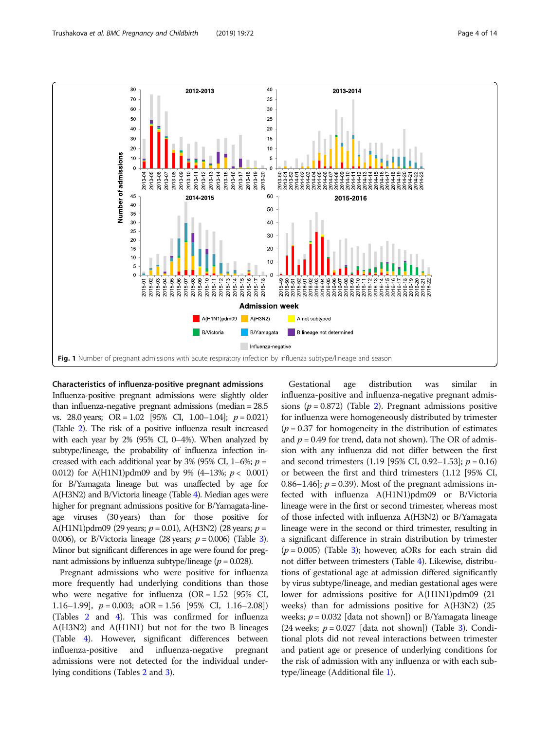<span id="page-3-0"></span>

#### Characteristics of influenza-positive pregnant admissions

Influenza-positive pregnant admissions were slightly older than influenza-negative pregnant admissions (median = 28.5 vs. 28.0 years; OR = 1.02 [95% CI, 1.00–1.04];  $p = 0.021$ ] (Table [2](#page-4-0)). The risk of a positive influenza result increased with each year by 2% (95% CI, 0–4%). When analyzed by subtype/lineage, the probability of influenza infection increased with each additional year by 3% (95% CI, 1–6%;  $p =$ 0.012) for A(H1N1)pdm09 and by 9% (4-13%;  $p < 0.001$ ) for B/Yamagata lineage but was unaffected by age for A(H3N2) and B/Victoria lineage (Table [4\)](#page-5-0). Median ages were higher for pregnant admissions positive for B/Yamagata-lineage viruses (30 years) than for those positive for A(H1N1)pdm09 (29 years;  $p = 0.01$ ), A(H3N2) (28 years;  $p =$ 0.006), or B/Victoria lineage (28 years;  $p = 0.006$ ) (Table [3\)](#page-5-0). Minor but significant differences in age were found for pregnant admissions by influenza subtype/lineage ( $p = 0.028$ ).

Pregnant admissions who were positive for influenza more frequently had underlying conditions than those who were negative for influenza  $(OR = 1.52)$  [95% CI, 1.16–1.99],  $p = 0.003$ ;  $aOR = 1.56$  [95% CI, 1.16–2.08]) (Tables [2](#page-4-0) and [4\)](#page-5-0). This was confirmed for influenza A(H3N2) and A(H1N1) but not for the two B lineages (Table [4](#page-5-0)). However, significant differences between influenza-positive and influenza-negative pregnant admissions were not detected for the individual underlying conditions (Tables [2](#page-4-0) and [3\)](#page-5-0).

Gestational age distribution was similar in influenza-positive and influenza-negative pregnant admissions ( $p = 0.872$ ) (Table [2\)](#page-4-0). Pregnant admissions positive for influenza were homogeneously distributed by trimester  $(p = 0.37$  for homogeneity in the distribution of estimates and  $p = 0.49$  for trend, data not shown). The OR of admission with any influenza did not differ between the first and second trimesters (1.19 [95% CI, 0.92–1.53];  $p = 0.16$ ) or between the first and third trimesters (1.12 [95% CI, 0.86–1.46];  $p = 0.39$ ). Most of the pregnant admissions infected with influenza A(H1N1)pdm09 or B/Victoria lineage were in the first or second trimester, whereas most of those infected with influenza A(H3N2) or B/Yamagata lineage were in the second or third trimester, resulting in a significant difference in strain distribution by trimester  $(p = 0.005)$  (Table [3](#page-5-0)); however, aORs for each strain did not differ between trimesters (Table [4\)](#page-5-0). Likewise, distributions of gestational age at admission differed significantly by virus subtype/lineage, and median gestational ages were lower for admissions positive for A(H1N1)pdm09 (21 weeks) than for admissions positive for A(H3N2) (25 weeks;  $p = 0.032$  [data not shown]) or B/Yamagata lineage (24 weeks;  $p = 0.027$  [data not shown]) (Table [3](#page-5-0)). Conditional plots did not reveal interactions between trimester and patient age or presence of underlying conditions for the risk of admission with any influenza or with each subtype/lineage (Additional file [1\)](#page-11-0).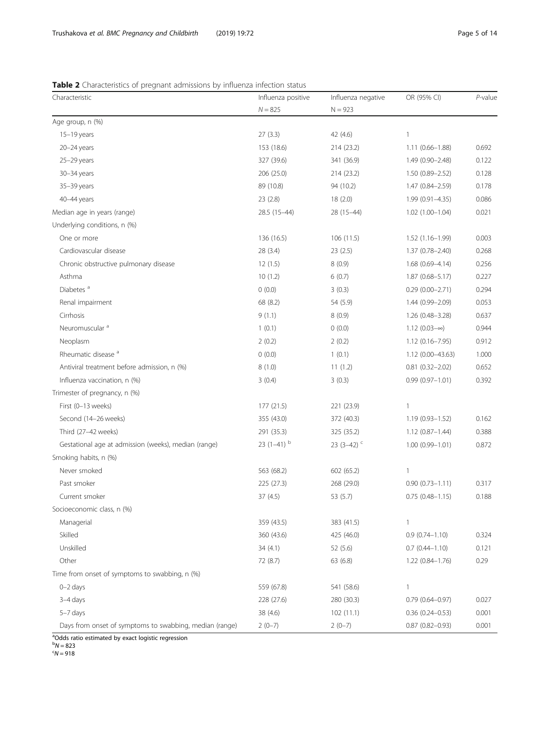## <span id="page-4-0"></span>Table 2 Characteristics of pregnant admissions by influenza infection status

| Characteristic                                          | Influenza positive       | Influenza negative | OR (95% CI)            | $P$ -value |
|---------------------------------------------------------|--------------------------|--------------------|------------------------|------------|
|                                                         | $N = 825$                | $N = 923$          |                        |            |
| Age group, n (%)                                        |                          |                    |                        |            |
| $15-19$ years                                           | 27(3.3)                  | 42 (4.6)           | 1                      |            |
| 20-24 years                                             | 153 (18.6)               | 214 (23.2)         | $1.11(0.66 - 1.88)$    | 0.692      |
| $25 - 29$ years                                         | 327 (39.6)               | 341 (36.9)         | $1.49(0.90 - 2.48)$    | 0.122      |
| 30-34 years                                             | 206(25.0)                | 214 (23.2)         | $1.50(0.89 - 2.52)$    | 0.128      |
| 35-39 years                                             | 89 (10.8)                | 94 (10.2)          | 1.47 (0.84-2.59)       | 0.178      |
| 40-44 years                                             | 23(2.8)                  | 18(2.0)            | $1.99(0.91 - 4.35)$    | 0.086      |
| Median age in years (range)                             | 28.5 (15-44)             | 28 (15-44)         | 1.02 (1.00-1.04)       | 0.021      |
| Underlying conditions, n (%)                            |                          |                    |                        |            |
| One or more                                             | 136 (16.5)               | 106(11.5)          | $1.52(1.16 - 1.99)$    | 0.003      |
| Cardiovascular disease                                  | 28 (3.4)                 | 23(2.5)            | 1.37 (0.78-2.40)       | 0.268      |
| Chronic obstructive pulmonary disease                   | 12(1.5)                  | 8(0.9)             | $1.68(0.69 - 4.14)$    | 0.256      |
| Asthma                                                  | 10(1.2)                  | 6(0.7)             | $1.87(0.68 - 5.17)$    | 0.227      |
| Diabetes <sup>a</sup>                                   | 0(0.0)                   | 3(0.3)             | $0.29(0.00 - 2.71)$    | 0.294      |
| Renal impairment                                        | 68 (8.2)                 | 54 (5.9)           | 1.44 (0.99-2.09)       | 0.053      |
| Cirrhosis                                               | 9(1.1)                   | 8(0.9)             | $1.26(0.48 - 3.28)$    | 0.637      |
| Neuromuscular <sup>a</sup>                              | 1(0.1)                   | 0(0.0)             | $1.12(0.03-\infty)$    | 0.944      |
| Neoplasm                                                | 2(0.2)                   | 2(0.2)             | $1.12(0.16 - 7.95)$    | 0.912      |
| Rheumatic disease <sup>a</sup>                          | 0(0.0)                   | 1(0.1)             | $1.12(0.00-43.63)$     | 1.000      |
| Antiviral treatment before admission, n (%)             | 8(1.0)                   | 11(1.2)            | $0.81$ $(0.32 - 2.02)$ | 0.652      |
| Influenza vaccination, n (%)                            | 3(0.4)                   | 3(0.3)             | $0.99(0.97 - 1.01)$    | 0.392      |
| Trimester of pregnancy, n (%)                           |                          |                    |                        |            |
| First (0-13 weeks)                                      | 177 (21.5)               | 221 (23.9)         | 1                      |            |
| Second (14-26 weeks)                                    | 355 (43.0)               | 372 (40.3)         | 1.19 (0.93-1.52)       | 0.162      |
| Third (27-42 weeks)                                     | 291 (35.3)               | 325 (35.2)         | $1.12(0.87 - 1.44)$    | 0.388      |
| Gestational age at admission (weeks), median (range)    | 23 $(1-41)$ <sup>b</sup> | 23 (3-42) $C$      | $1.00(0.99 - 1.01)$    | 0.872      |
| Smoking habits, n (%)                                   |                          |                    |                        |            |
| Never smoked                                            | 563 (68.2)               | 602 (65.2)         | 1                      |            |
| Past smoker                                             | 225 (27.3)               | 268 (29.0)         | $0.90(0.73 - 1.11)$    | 0.317      |
| Current smoker                                          | 37(4.5)                  | 53 (5.7)           | $0.75(0.48 - 1.15)$    | 0.188      |
| Socioeconomic class, n (%)                              |                          |                    |                        |            |
| Managerial                                              | 359 (43.5)               | 383 (41.5)         | 1                      |            |
| Skilled                                                 | 360 (43.6)               | 425 (46.0)         | $0.9(0.74 - 1.10)$     | 0.324      |
| Unskilled                                               | 34(4.1)                  | 52(5.6)            | $0.7(0.44 - 1.10)$     | 0.121      |
| Other                                                   | 72 (8.7)                 | 63 (6.8)           | 1.22 (0.84-1.76)       | 0.29       |
| Time from onset of symptoms to swabbing, n (%)          |                          |                    |                        |            |
| $0 - 2$ days                                            | 559 (67.8)               | 541 (58.6)         | $\mathbb{1}$           |            |
| 3-4 days                                                | 228 (27.6)               | 280 (30.3)         | $0.79$ $(0.64 - 0.97)$ | 0.027      |
| $5-7$ days                                              | 38 (4.6)                 | 102(11.1)          | $0.36(0.24 - 0.53)$    | 0.001      |
| Days from onset of symptoms to swabbing, median (range) | $2(0-7)$                 | $2(0-7)$           | $0.87(0.82 - 0.93)$    | 0.001      |

<sup>a</sup>Odds ratio estimated by exact logistic regression

<sup>b</sup>N = 823<br><sup>c</sup>N = 918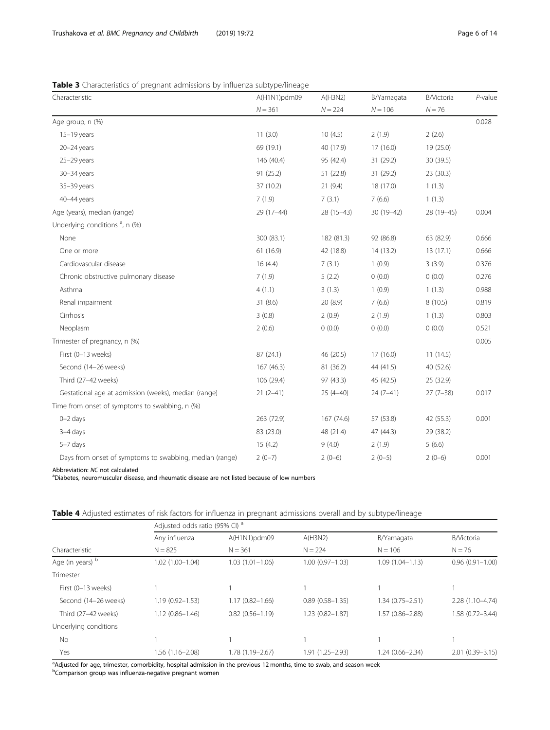| Characteristic                                          | A(H1N1)pdm09 | A(H3N2)      | B/Yamagata | B/Victoria | $P$ -value |
|---------------------------------------------------------|--------------|--------------|------------|------------|------------|
|                                                         | $N = 361$    | $N = 224$    | $N = 106$  | $N = 76$   |            |
| Age group, n (%)                                        |              |              |            |            | 0.028      |
| $15-19$ years                                           | 11(3.0)      | 10(4.5)      | 2(1.9)     | 2(2.6)     |            |
| $20 - 24$ years                                         | 69 (19.1)    | 40 (17.9)    | 17(16.0)   | 19 (25.0)  |            |
| 25-29 years                                             | 146 (40.4)   | 95 (42.4)    | 31 (29.2)  | 30 (39.5)  |            |
| 30-34 years                                             | 91 (25.2)    | 51 (22.8)    | 31 (29.2)  | 23(30.3)   |            |
| 35-39 years                                             | 37 (10.2)    | 21(9.4)      | 18 (17.0)  | 1(1.3)     |            |
| 40-44 years                                             | 7(1.9)       | 7(3.1)       | 7(6.6)     | 1(1.3)     |            |
| Age (years), median (range)                             | 29 (17-44)   | 28 (15-43)   | 30 (19-42) | 28 (19-45) | 0.004      |
| Underlying conditions <sup>a</sup> , n (%)              |              |              |            |            |            |
| None                                                    | 300 (83.1)   | 182 (81.3)   | 92 (86.8)  | 63 (82.9)  | 0.666      |
| One or more                                             | 61(16.9)     | 42 (18.8)    | 14 (13.2)  | 13(17.1)   | 0.666      |
| Cardiovascular disease                                  | 16(4.4)      | 7(3.1)       | 1(0.9)     | 3(3.9)     | 0.376      |
| Chronic obstructive pulmonary disease                   | 7(1.9)       | 5(2.2)       | 0(0.0)     | 0(0.0)     | 0.276      |
| Asthma                                                  | 4(1.1)       | 3(1.3)       | 1(0.9)     | 1(1.3)     | 0.988      |
| Renal impairment                                        | 31(8.6)      | 20 (8.9)     | 7(6.6)     | 8(10.5)    | 0.819      |
| Cirrhosis                                               | 3(0.8)       | 2(0.9)       | 2(1.9)     | 1(1.3)     | 0.803      |
| Neoplasm                                                | 2(0.6)       | 0(0.0)       | 0(0.0)     | 0(0.0)     | 0.521      |
| Trimester of pregnancy, n (%)                           |              |              |            |            | 0.005      |
| First (0-13 weeks)                                      | 87(24.1)     | 46 (20.5)    | 17(16.0)   | 11(14.5)   |            |
| Second (14-26 weeks)                                    | 167 (46.3)   | 81 (36.2)    | 44 (41.5)  | 40 (52.6)  |            |
| Third (27-42 weeks)                                     | 106 (29.4)   | 97 (43.3)    | 45 (42.5)  | 25 (32.9)  |            |
| Gestational age at admission (weeks), median (range)    | $21(2-41)$   | $25(4 - 40)$ | $24(7-41)$ | $27(7-38)$ | 0.017      |
| Time from onset of symptoms to swabbing, n (%)          |              |              |            |            |            |
| $0 - 2$ days                                            | 263 (72.9)   | 167 (74.6)   | 57 (53.8)  | 42 (55.3)  | 0.001      |
| $3-4$ days                                              | 83 (23.0)    | 48 (21.4)    | 47 (44.3)  | 29 (38.2)  |            |
| $5-7$ days                                              | 15(4.2)      | 9(4.0)       | 2(1.9)     | 5(6.6)     |            |
| Days from onset of symptoms to swabbing, median (range) | $2(0-7)$     | $2(0-6)$     | $2(0-5)$   | $2(0-6)$   | 0.001      |

<span id="page-5-0"></span>Table 3 Characteristics of pregnant admissions by influenza subtype/lineage

Abbreviation: NC not calculated

Diabetes, neuromuscular disease, and rheumatic disease are not listed because of low numbers

|  |  |  |  | <b>Table 4</b> Adiusted estimates of risk factors for influenza in pregnant admissions overall and by subtype/lineage |  |  |  |
|--|--|--|--|-----------------------------------------------------------------------------------------------------------------------|--|--|--|
|  |  |  |  |                                                                                                                       |  |  |  |

|                       | Adjusted odds ratio (95% CI) <sup>a</sup> |                     |                     |                     |                     |  |  |
|-----------------------|-------------------------------------------|---------------------|---------------------|---------------------|---------------------|--|--|
|                       | Any influenza                             | $A(H1N1)$ pdm09     | A(H3N2)             | B/Yamagata          | <b>B</b> /Victoria  |  |  |
| Characteristic        | $N = 825$                                 | $N = 361$           | $N = 224$           | $N = 106$           | $N = 76$            |  |  |
| Age (in years) b      | $1.02(1.00 - 1.04)$                       | $1.03(1.01 - 1.06)$ | $1.00(0.97 - 1.03)$ | $1.09(1.04 - 1.13)$ | $0.96(0.91 - 1.00)$ |  |  |
| Trimester             |                                           |                     |                     |                     |                     |  |  |
| First (0-13 weeks)    |                                           |                     |                     |                     |                     |  |  |
| Second (14-26 weeks)  | $1.19(0.92 - 1.53)$                       | $1.17(0.82 - 1.66)$ | $0.89(0.58 - 1.35)$ | $1.34(0.75 - 2.51)$ | $2.28(1.10-4.74)$   |  |  |
| Third (27-42 weeks)   | $1.12(0.86 - 1.46)$                       | $0.82(0.56 - 1.19)$ | 1.23 (0.82-1.87)    | $1.57(0.86 - 2.88)$ | $1.58(0.72 - 3.44)$ |  |  |
| Underlying conditions |                                           |                     |                     |                     |                     |  |  |
| <b>No</b>             |                                           |                     |                     |                     |                     |  |  |
| Yes                   | 1.56 (1.16–2.08)                          | 1.78 (1.19 - 2.67)  | 1.91 (1.25 - 2.93)  | $1.24(0.66 - 2.34)$ | $2.01(0.39 - 3.15)$ |  |  |

<sup>a</sup>Adjusted for age, trimester, comorbidity, hospital admission in the previous 12 months, time to swab, and season-week<br><sup>b</sup>Comparison group was influenza-negative pregnant women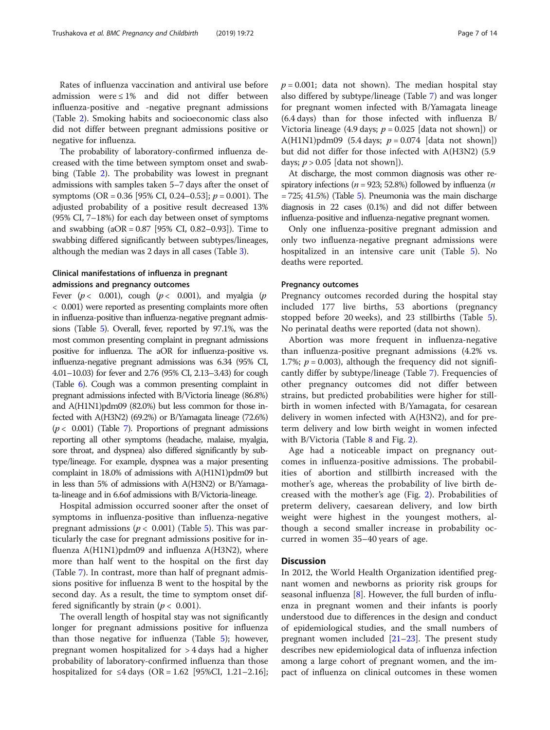Rates of influenza vaccination and antiviral use before admission were ≤ 1% and did not differ between influenza-positive and -negative pregnant admissions (Table [2\)](#page-4-0). Smoking habits and socioeconomic class also did not differ between pregnant admissions positive or negative for influenza.

The probability of laboratory-confirmed influenza decreased with the time between symptom onset and swabbing (Table [2\)](#page-4-0). The probability was lowest in pregnant admissions with samples taken 5–7 days after the onset of symptoms (OR = 0.36 [95% CI, 0.24–0.53];  $p = 0.001$ ). The adjusted probability of a positive result decreased 13% (95% CI, 7–18%) for each day between onset of symptoms and swabbing (aOR = 0.87 [95% CI, 0.82–0.93]). Time to swabbing differed significantly between subtypes/lineages, although the median was 2 days in all cases (Table [3](#page-5-0)).

## Clinical manifestations of influenza in pregnant admissions and pregnancy outcomes

Fever ( $p < 0.001$ ), cough ( $p < 0.001$ ), and myalgia ( $p$ ) < 0.001) were reported as presenting complaints more often in influenza-positive than influenza-negative pregnant admissions (Table [5](#page-7-0)). Overall, fever, reported by 97.1%, was the most common presenting complaint in pregnant admissions positive for influenza. The aOR for influenza-positive vs. influenza-negative pregnant admissions was 6.34 (95% CI, 4.01–10.03) for fever and 2.76 (95% CI, 2.13–3.43) for cough (Table [6](#page-8-0)). Cough was a common presenting complaint in pregnant admissions infected with B/Victoria lineage (86.8%) and A(H1N1)pdm09 (82.0%) but less common for those infected with A(H3N2) (69.2%) or B/Yamagata lineage (72.6%)  $(p < 0.001)$  (Table [7\)](#page-9-0). Proportions of pregnant admissions reporting all other symptoms (headache, malaise, myalgia, sore throat, and dyspnea) also differed significantly by subtype/lineage. For example, dyspnea was a major presenting complaint in 18.0% of admissions with A(H1N1)pdm09 but in less than 5% of admissions with A(H3N2) or B/Yamagata-lineage and in 6.6of admissions with B/Victoria-lineage.

Hospital admission occurred sooner after the onset of symptoms in influenza-positive than influenza-negative pregnant admissions ( $p < 0.001$ ) (Table [5](#page-7-0)). This was particularly the case for pregnant admissions positive for influenza A(H1N1)pdm09 and influenza A(H3N2), where more than half went to the hospital on the first day (Table [7\)](#page-9-0). In contrast, more than half of pregnant admissions positive for influenza B went to the hospital by the second day. As a result, the time to symptom onset differed significantly by strain ( $p < 0.001$ ).

The overall length of hospital stay was not significantly longer for pregnant admissions positive for influenza than those negative for influenza (Table [5\)](#page-7-0); however, pregnant women hospitalized for > 4 days had a higher probability of laboratory-confirmed influenza than those hospitalized for ≤4 days (OR = 1.62 [95%CI, 1.21–2.16];  $p = 0.001$ ; data not shown). The median hospital stay also differed by subtype/lineage (Table [7](#page-9-0)) and was longer for pregnant women infected with B/Yamagata lineage (6.4 days) than for those infected with influenza B/ Victoria lineage (4.9 days;  $p = 0.025$  [data not shown]) or A(H1N1)pdm09 (5.4 days;  $p = 0.074$  [data not shown]) but did not differ for those infected with A(H3N2) (5.9 days;  $p > 0.05$  [data not shown]).

At discharge, the most common diagnosis was other respiratory infections ( $n = 923$ ; 52.8%) followed by influenza ( $n$  $= 725$  $= 725$ ; 41.5%) (Table 5). Pneumonia was the main discharge diagnosis in 22 cases (0.1%) and did not differ between influenza-positive and influenza-negative pregnant women.

Only one influenza-positive pregnant admission and only two influenza-negative pregnant admissions were hospitalized in an intensive care unit (Table [5](#page-7-0)). No deaths were reported.

## Pregnancy outcomes

Pregnancy outcomes recorded during the hospital stay included 177 live births, 53 abortions (pregnancy stopped before 20 weeks), and 23 stillbirths (Table [5](#page-7-0)). No perinatal deaths were reported (data not shown).

Abortion was more frequent in influenza-negative than influenza-positive pregnant admissions (4.2% vs. 1.7%;  $p = 0.003$ ), although the frequency did not significantly differ by subtype/lineage (Table [7](#page-9-0)). Frequencies of other pregnancy outcomes did not differ between strains, but predicted probabilities were higher for stillbirth in women infected with B/Yamagata, for cesarean delivery in women infected with A(H3N2), and for preterm delivery and low birth weight in women infected with B/Victoria (Table [8](#page-10-0) and Fig. [2](#page-11-0)).

Age had a noticeable impact on pregnancy outcomes in influenza-positive admissions. The probabilities of abortion and stillbirth increased with the mother's age, whereas the probability of live birth decreased with the mother's age (Fig. [2\)](#page-11-0). Probabilities of preterm delivery, caesarean delivery, and low birth weight were highest in the youngest mothers, although a second smaller increase in probability occurred in women 35–40 years of age.

## **Discussion**

In 2012, the World Health Organization identified pregnant women and newborns as priority risk groups for seasonal influenza [[8](#page-12-0)]. However, the full burden of influenza in pregnant women and their infants is poorly understood due to differences in the design and conduct of epidemiological studies, and the small numbers of pregnant women included [\[21](#page-12-0)–[23\]](#page-12-0). The present study describes new epidemiological data of influenza infection among a large cohort of pregnant women, and the impact of influenza on clinical outcomes in these women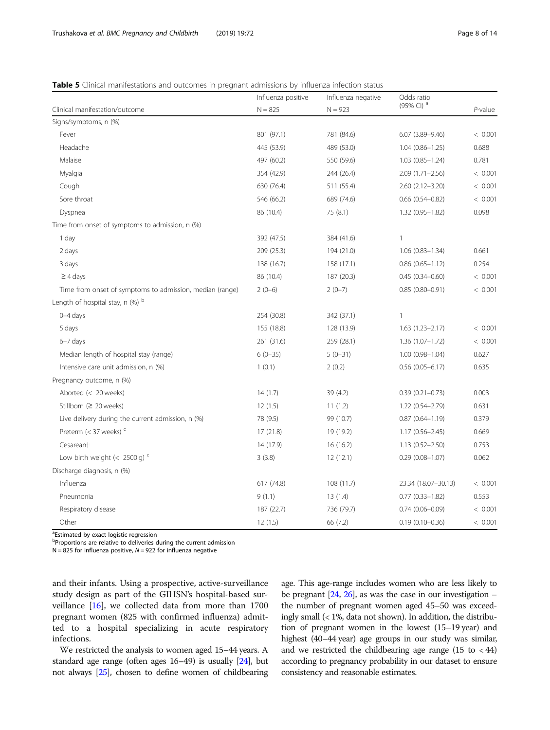## <span id="page-7-0"></span>Table 5 Clinical manifestations and outcomes in pregnant admissions by influenza infection status

|                                                          | Influenza positive | Influenza negative | Odds ratio             |         |
|----------------------------------------------------------|--------------------|--------------------|------------------------|---------|
| Clinical manifestation/outcome                           | $N = 825$          | $N = 923$          | (95% CI) <sup>a</sup>  | P-value |
| Signs/symptoms, n (%)                                    |                    |                    |                        |         |
| Fever                                                    | 801 (97.1)         | 781 (84.6)         | $6.07(3.89 - 9.46)$    | < 0.001 |
| Headache                                                 | 445 (53.9)         | 489 (53.0)         | $1.04(0.86 - 1.25)$    | 0.688   |
| Malaise                                                  | 497 (60.2)         | 550 (59.6)         | $1.03(0.85 - 1.24)$    | 0.781   |
| Myalgia                                                  | 354 (42.9)         | 244 (26.4)         | $2.09(1.71 - 2.56)$    | < 0.001 |
| Cough                                                    | 630 (76.4)         | 511 (55.4)         | $2.60(2.12 - 3.20)$    | < 0.001 |
| Sore throat                                              | 546 (66.2)         | 689 (74.6)         | $0.66$ $(0.54 - 0.82)$ | < 0.001 |
| Dyspnea                                                  | 86 (10.4)          | 75 (8.1)           | 1.32 (0.95-1.82)       | 0.098   |
| Time from onset of symptoms to admission, n (%)          |                    |                    |                        |         |
| 1 day                                                    | 392 (47.5)         | 384 (41.6)         | 1                      |         |
| 2 days                                                   | 209 (25.3)         | 194 (21.0)         | $1.06(0.83 - 1.34)$    | 0.661   |
| 3 days                                                   | 138 (16.7)         | 158 (17.1)         | $0.86$ $(0.65 - 1.12)$ | 0.254   |
| $\geq$ 4 days                                            | 86 (10.4)          | 187 (20.3)         | $0.45(0.34 - 0.60)$    | < 0.001 |
| Time from onset of symptoms to admission, median (range) | $2(0-6)$           | $2(0-7)$           | $0.85(0.80 - 0.91)$    | < 0.001 |
| Length of hospital stay, n $(\%)$ <sup>b</sup>           |                    |                    |                        |         |
| $0 - 4$ days                                             | 254 (30.8)         | 342 (37.1)         | 1                      |         |
| 5 days                                                   | 155 (18.8)         | 128 (13.9)         | $1.63(1.23 - 2.17)$    | < 0.001 |
| $6-7$ days                                               | 261 (31.6)         | 259 (28.1)         | $1.36(1.07 - 1.72)$    | < 0.001 |
| Median length of hospital stay (range)                   | $6(0-35)$          | $5(0-31)$          | $1.00(0.98 - 1.04)$    | 0.627   |
| Intensive care unit admission, n (%)                     | 1(0.1)             | 2(0.2)             | $0.56$ (0.05-6.17)     | 0.635   |
| Pregnancy outcome, n (%)                                 |                    |                    |                        |         |
| Aborted (< 20 weeks)                                     | 14(1.7)            | 39(4.2)            | $0.39(0.21 - 0.73)$    | 0.003   |
| Stillborn (≥ 20 weeks)                                   | 12(1.5)            | 11(1.2)            | 1.22 (0.54-2.79)       | 0.631   |
| Live delivery during the current admission, n (%)        | 78 (9.5)           | 99 (10.7)          | $0.87(0.64 - 1.19)$    | 0.379   |
| Preterm $(<$ 37 weeks) <sup>c</sup>                      | 17 (21.8)          | 19 (19.2)          | $1.17(0.56 - 2.45)$    | 0.669   |
| Cesarean‡                                                | 14 (17.9)          | 16(16.2)           | $1.13(0.52 - 2.50)$    | 0.753   |
| Low birth weight (< 2500 g) $<$                          | 3(3.8)             | 12(12.1)           | $0.29(0.08 - 1.07)$    | 0.062   |
| Discharge diagnosis, n (%)                               |                    |                    |                        |         |
| Influenza                                                | 617 (74.8)         | 108 (11.7)         | 23.34 (18.07-30.13)    | < 0.001 |
| Pneumonia                                                | 9(1.1)             | 13(1.4)            | $0.77$ $(0.33 - 1.82)$ | 0.553   |
| Respiratory disease                                      | 187 (22.7)         | 736 (79.7)         | $0.74(0.06 - 0.09)$    | < 0.001 |
| Other                                                    | 12(1.5)            | 66 (7.2)           | $0.19(0.10 - 0.36)$    | < 0.001 |

<sup>a</sup>Estimated by exact logistic regression

<sup>b</sup>Proportions are relative to deliveries during the current admission

 $N = 825$  for influenza positive,  $N = 922$  for influenza negative

and their infants. Using a prospective, active-surveillance study design as part of the GIHSN's hospital-based surveillance [[16](#page-12-0)], we collected data from more than 1700 pregnant women (825 with confirmed influenza) admitted to a hospital specializing in acute respiratory infections.

We restricted the analysis to women aged 15–44 years. A standard age range (often ages 16–49) is usually [\[24](#page-12-0)], but not always [[25](#page-12-0)], chosen to define women of childbearing

age. This age-range includes women who are less likely to be pregnant  $[24, 26]$  $[24, 26]$  $[24, 26]$ , as was the case in our investigation – the number of pregnant women aged 45–50 was exceedingly small (< 1%, data not shown). In addition, the distribution of pregnant women in the lowest (15–19 year) and highest (40–44 year) age groups in our study was similar, and we restricted the childbearing age range  $(15 \text{ to } 44)$ according to pregnancy probability in our dataset to ensure consistency and reasonable estimates.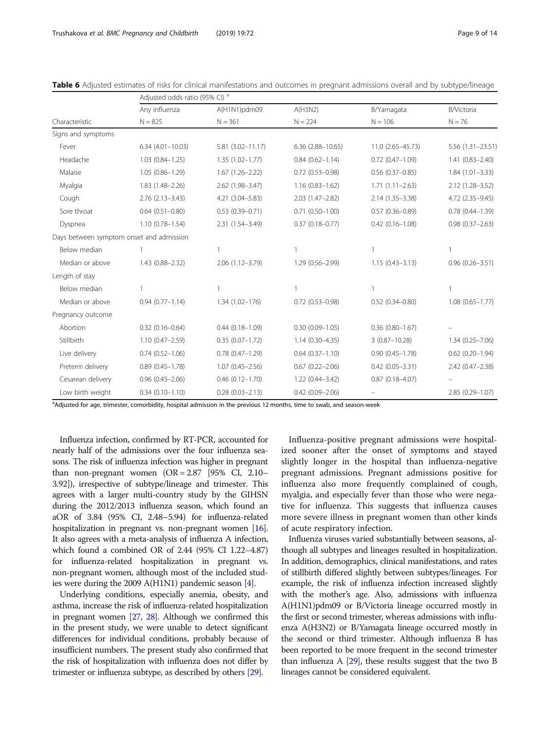|                                          | Adjusted odds ratio (95% CI) <sup>a</sup> |                        |                         |                     |                     |  |  |
|------------------------------------------|-------------------------------------------|------------------------|-------------------------|---------------------|---------------------|--|--|
|                                          | Any influenza                             | A(H1N1)pdm09           | A(H3N2)                 | B/Yamagata          | <b>B/Victoria</b>   |  |  |
| Characteristic                           | $N = 825$                                 | $N = 361$              | $N = 224$               | $N = 106$           | $N = 76$            |  |  |
| Signs and symptoms                       |                                           |                        |                         |                     |                     |  |  |
| Fever                                    | $6.34(4.01 - 10.03)$                      | $5.81(3.02 - 11.17)$   | $6.36$ $(2.88 - 10.65)$ | 11.0 (2.65-45.73)   | 5.56 (1.31-23.51)   |  |  |
| Headache                                 | $1.03(0.84 - 1.25)$                       | $1.35(1.02 - 1.77)$    | $0.84(0.62 - 1.14)$     | $0.72(0.47 - 1.09)$ | 1.41 (0.83-2.40)    |  |  |
| Malaise                                  | $1.05(0.86 - 1.29)$                       | $1.67(1.26 - 2.22)$    | $0.72(0.53 - 0.98)$     | $0.56(0.37 - 0.85)$ | $1.84(1.01 - 3.33)$ |  |  |
| Myalgia                                  | 1.83 (1.48-2.26)                          | 2.62 (1.98-3.47)       | $1.16(0.83 - 1.62)$     | $1.71(1.11 - 2.63)$ | 2.12 (1.28-3.52)    |  |  |
| Cough                                    | $2.76$ $(2.13 - 3.43)$                    | 4.21 (3.04-5.83)       | 2.03 (1.47-2.82)        | 2.14 (1.35-3.38)    | 4.72 (2.35-9.45)    |  |  |
| Sore throat                              | $0.64$ $(0.51 - 0.80)$                    | $0.53(0.39 - 0.71)$    | $0.71(0.50 - 1.00)$     | $0.57(0.36 - 0.89)$ | $0.78(0.44 - 1.39)$ |  |  |
| Dyspnea                                  | $1.10(0.78 - 1.54)$                       | 2.31 (1.54-3.49)       | $0.37(0.18 - 0.77)$     | $0.42$ (0.16-1.08)  | $0.98(0.37 - 2.63)$ |  |  |
| Days between symptom onset and admission |                                           |                        |                         |                     |                     |  |  |
| Below median                             |                                           |                        |                         |                     |                     |  |  |
| Median or above                          | 1.43 (0.88-2.32)                          | 2.06 (1.12-3.79)       | 1.29 (0.56-2.99)        | $1.15(0.43 - 3.13)$ | $0.96(0.26 - 3.51)$ |  |  |
| Length of stay                           |                                           |                        |                         |                     |                     |  |  |
| Below median                             |                                           |                        |                         |                     |                     |  |  |
| Median or above                          | $0.94(0.77 - 1.14)$                       | $1.34(1.02 - 176)$     | $0.72(0.53 - 0.98)$     | $0.52(0.34 - 0.80)$ | $1.08(0.65 - 1.77)$ |  |  |
| Pregnancy outcome                        |                                           |                        |                         |                     |                     |  |  |
| Abortion                                 | $0.32(0.16 - 0.64)$                       | $0.44(0.18 - 1.09)$    | $0.30(0.09 - 1.05)$     | $0.36(0.80 - 1.67)$ |                     |  |  |
| Stillbirth                               | 1.10 (0.47-2.59)                          | $0.35(0.07 - 1.72)$    | $1.14(0.30 - 4.35)$     | $3(0.87 - 10.28)$   | $1.34(0.25 - 7.06)$ |  |  |
| Live delivery                            | $0.74(0.52 - 1.06)$                       | $0.78$ $(0.47 - 1.29)$ | $0.64$ $(0.37 - 1.10)$  | $0.90(0.45 - 1.78)$ | $0.62$ (0.20-1.94)  |  |  |
| Preterm delivery                         | $0.89(0.45 - 1.78)$                       | $1.07(0.45 - 2.56)$    | $0.67(0.22 - 2.06)$     | $0.42(0.05 - 3.31)$ | 2.42 (0.47-2.38)    |  |  |
| Cesarean delivery                        | $0.96(0.45 - 2.06)$                       | $0.46$ $(0.12 - 1.70)$ | 1.22 (0.44-3.42)        | $0.87(0.18 - 4.07)$ |                     |  |  |
| Low birth weight                         | $0.34(0.10 - 1.10)$                       | $0.28(0.03 - 2.13)$    | $0.42(0.09 - 2.06)$     |                     | 2.85 (0.29-1.07)    |  |  |

<span id="page-8-0"></span>

| Table 6 Adjusted estimates of risks for clinical manifestations and outcomes in pregnant admissions overall and by subtype/lineage |  |  |  |
|------------------------------------------------------------------------------------------------------------------------------------|--|--|--|
|------------------------------------------------------------------------------------------------------------------------------------|--|--|--|

a Adjusted for age, trimester, comorbidity, hospital admission in the previous 12 months, time to swab, and season-week

Influenza infection, confirmed by RT-PCR, accounted for nearly half of the admissions over the four influenza seasons. The risk of influenza infection was higher in pregnant than non-pregnant women  $(OR = 2.87)$  [95% CI, 2.10– 3.92]), irrespective of subtype/lineage and trimester. This agrees with a larger multi-country study by the GIHSN during the 2012/2013 influenza season, which found an aOR of 3.84 (95% CI, 2.48–5.94) for influenza-related hospitalization in pregnant vs. non-pregnant women [\[16](#page-12-0)]. It also agrees with a meta-analysis of influenza A infection, which found a combined OR of 2.44 (95% CI 1.22–4.87) for influenza-related hospitalization in pregnant vs. non-pregnant women, although most of the included studies were during the 2009 A(H1N1) pandemic season [\[4](#page-12-0)].

Underlying conditions, especially anemia, obesity, and asthma, increase the risk of influenza-related hospitalization in pregnant women [\[27](#page-12-0), [28\]](#page-12-0). Although we confirmed this in the present study, we were unable to detect significant differences for individual conditions, probably because of insufficient numbers. The present study also confirmed that the risk of hospitalization with influenza does not differ by trimester or influenza subtype, as described by others [[29](#page-13-0)].

Influenza-positive pregnant admissions were hospitalized sooner after the onset of symptoms and stayed slightly longer in the hospital than influenza-negative pregnant admissions. Pregnant admissions positive for influenza also more frequently complained of cough, myalgia, and especially fever than those who were negative for influenza. This suggests that influenza causes more severe illness in pregnant women than other kinds of acute respiratory infection.

Influenza viruses varied substantially between seasons, although all subtypes and lineages resulted in hospitalization. In addition, demographics, clinical manifestations, and rates of stillbirth differed slightly between subtypes/lineages. For example, the risk of influenza infection increased slightly with the mother's age. Also, admissions with influenza A(H1N1)pdm09 or B/Victoria lineage occurred mostly in the first or second trimester, whereas admissions with influenza A(H3N2) or B/Yamagata lineage occurred mostly in the second or third trimester. Although influenza B has been reported to be more frequent in the second trimester than influenza A  $[29]$  $[29]$ , these results suggest that the two B lineages cannot be considered equivalent.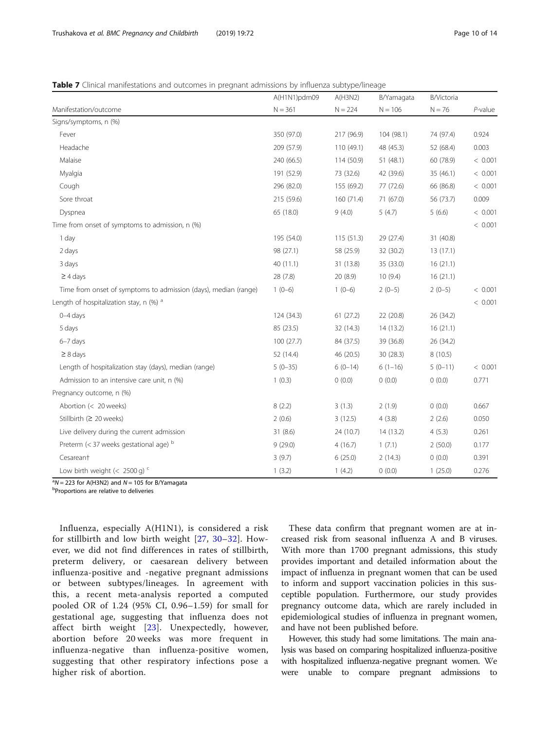## <span id="page-9-0"></span>Table 7 Clinical manifestations and outcomes in pregnant admissions by influenza subtype/lineage

|                                                                 | A(H1N1)pdm09 | A(H3N2)    | B/Yamagata | B/Victoria |            |
|-----------------------------------------------------------------|--------------|------------|------------|------------|------------|
| Manifestation/outcome                                           | $N = 361$    | $N = 224$  | $N = 106$  | $N = 76$   | $P$ -value |
| Signs/symptoms, n (%)                                           |              |            |            |            |            |
| Fever                                                           | 350 (97.0)   | 217 (96.9) | 104 (98.1) | 74 (97.4)  | 0.924      |
| Headache                                                        | 209 (57.9)   | 110 (49.1) | 48 (45.3)  | 52 (68.4)  | 0.003      |
| Malaise                                                         | 240 (66.5)   | 114 (50.9) | 51(48.1)   | 60 (78.9)  | < 0.001    |
| Myalgia                                                         | 191 (52.9)   | 73 (32.6)  | 42 (39.6)  | 35 (46.1)  | < 0.001    |
| Cough                                                           | 296 (82.0)   | 155 (69.2) | 77 (72.6)  | 66 (86.8)  | < 0.001    |
| Sore throat                                                     | 215 (59.6)   | 160 (71.4) | 71 (67.0)  | 56 (73.7)  | 0.009      |
| Dyspnea                                                         | 65 (18.0)    | 9(4.0)     | 5(4.7)     | 5(6.6)     | < 0.001    |
| Time from onset of symptoms to admission, n (%)                 |              |            |            |            | < 0.001    |
| 1 day                                                           | 195 (54.0)   | 115(51.3)  | 29 (27.4)  | 31 (40.8)  |            |
| 2 days                                                          | 98 (27.1)    | 58 (25.9)  | 32 (30.2)  | 13(17.1)   |            |
| 3 days                                                          | 40(11.1)     | 31 (13.8)  | 35 (33.0)  | 16(21.1)   |            |
| $\geq$ 4 days                                                   | 28 (7.8)     | 20(8.9)    | 10(9.4)    | 16(21.1)   |            |
| Time from onset of symptoms to admission (days), median (range) | $1(0-6)$     | $1(0-6)$   | $2(0-5)$   | $2(0-5)$   | < 0.001    |
| Length of hospitalization stay, n $(\%)$ <sup>a</sup>           |              |            |            |            | < 0.001    |
| $0 - 4$ days                                                    | 124 (34.3)   | 61(27.2)   | 22 (20.8)  | 26 (34.2)  |            |
| 5 days                                                          | 85 (23.5)    | 32 (14.3)  | 14 (13.2)  | 16(21.1)   |            |
| $6-7$ days                                                      | 100(27.7)    | 84 (37.5)  | 39 (36.8)  | 26 (34.2)  |            |
| $\geq 8$ days                                                   | 52 (14.4)    | 46 (20.5)  | 30(28.3)   | 8(10.5)    |            |
| Length of hospitalization stay (days), median (range)           | $5(0-35)$    | $6(0-14)$  | $6(1-16)$  | $5(0-11)$  | < 0.001    |
| Admission to an intensive care unit, n (%)                      | 1(0.3)       | 0(0.0)     | 0(0.0)     | 0(0.0)     | 0.771      |
| Pregnancy outcome, n (%)                                        |              |            |            |            |            |
| Abortion (< 20 weeks)                                           | 8(2.2)       | 3(1.3)     | 2(1.9)     | 0(0.0)     | 0.667      |
| Stillbirth ( $\geq 20$ weeks)                                   | 2(0.6)       | 3(12.5)    | 4(3.8)     | 2(2.6)     | 0.050      |
| Live delivery during the current admission                      | 31(8.6)      | 24 (10.7)  | 14 (13.2)  | 4(5.3)     | 0.261      |
| Preterm $(<$ 37 weeks gestational age) $b$                      | 9(29.0)      | 4(16.7)    | 1(7.1)     | 2(50.0)    | 0.177      |
| Cesareant                                                       | 3(9.7)       | 6(25.0)    | 2(14.3)    | 0(0.0)     | 0.391      |
| Low birth weight (< 2500 g) $<$                                 | 1(3.2)       | 1(4.2)     | 0(0.0)     | 1(25.0)    | 0.276      |

 $a^3N = 223$  for A(H3N2) and  $N = 105$  for B/Yamagata

**Proportions are relative to deliveries** 

Influenza, especially A(H1N1), is considered a risk for stillbirth and low birth weight [[27,](#page-12-0) [30](#page-13-0)–[32\]](#page-13-0). However, we did not find differences in rates of stillbirth, preterm delivery, or caesarean delivery between influenza-positive and -negative pregnant admissions or between subtypes/lineages. In agreement with this, a recent meta-analysis reported a computed pooled OR of 1.24 (95% CI, 0.96–1.59) for small for gestational age, suggesting that influenza does not affect birth weight [\[23](#page-12-0)]. Unexpectedly, however, abortion before 20 weeks was more frequent in influenza-negative than influenza-positive women, suggesting that other respiratory infections pose a higher risk of abortion.

These data confirm that pregnant women are at increased risk from seasonal influenza A and B viruses. With more than 1700 pregnant admissions, this study provides important and detailed information about the impact of influenza in pregnant women that can be used to inform and support vaccination policies in this susceptible population. Furthermore, our study provides pregnancy outcome data, which are rarely included in epidemiological studies of influenza in pregnant women, and have not been published before.

However, this study had some limitations. The main analysis was based on comparing hospitalized influenza-positive with hospitalized influenza-negative pregnant women. We were unable to compare pregnant admissions to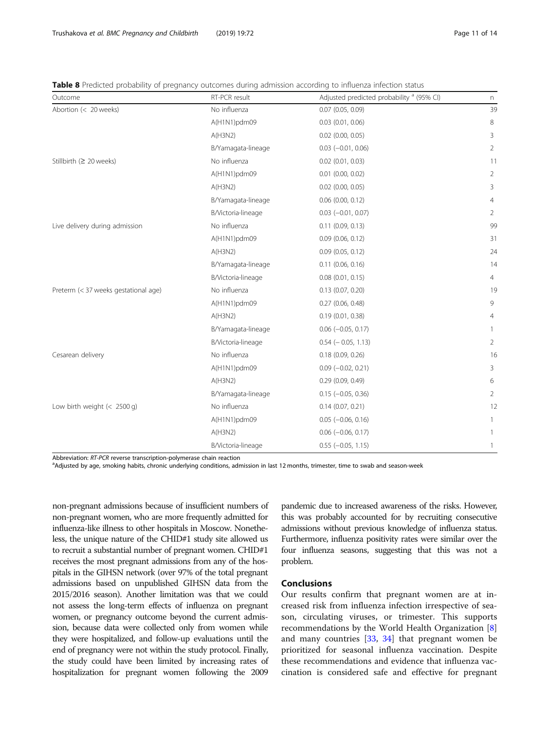<span id="page-10-0"></span>Table 8 Predicted probability of pregnancy outcomes during admission according to influenza infection status

| Outcome                              | RT-PCR result      | Adjusted predicted probability <sup>a</sup> (95% CI) | n              |
|--------------------------------------|--------------------|------------------------------------------------------|----------------|
| Abortion (< 20 weeks)                | No influenza       | $0.07$ (0.05, 0.09)                                  | 39             |
|                                      | A(H1N1)pdm09       | $0.03$ $(0.01, 0.06)$                                | 8              |
|                                      | A(H3N2)            | $0.02$ $(0.00, 0.05)$                                | 3              |
|                                      | B/Yamagata-lineage | $0.03$ ( $-0.01$ , $0.06$ )                          | 2              |
| Stillbirth (≥ 20 weeks)              | No influenza       | $0.02$ (0.01, 0.03)                                  | 11             |
|                                      | A(H1N1)pdm09       | $0.01$ $(0.00, 0.02)$                                | 2              |
|                                      | A(H3N2)            | $0.02$ $(0.00, 0.05)$                                | 3              |
|                                      | B/Yamagata-lineage | $0.06$ (0.00, 0.12)                                  | $\overline{4}$ |
|                                      | B/Victoria-lineage | $0.03$ ( $-0.01$ , $0.07$ )                          | $\overline{2}$ |
| Live delivery during admission       | No influenza       | $0.11$ $(0.09, 0.13)$                                | 99             |
|                                      | A(H1N1)pdm09       | $0.09$ (0.06, 0.12)                                  | 31             |
|                                      | A(H3N2)            | $0.09$ $(0.05, 0.12)$                                | 24             |
|                                      | B/Yamagata-lineage | $0.11$ $(0.06, 0.16)$                                | 14             |
|                                      | B/Victoria-lineage | $0.08$ $(0.01, 0.15)$                                | 4              |
| Preterm (< 37 weeks gestational age) | No influenza       | 0.13(0.07, 0.20)                                     | 19             |
|                                      | A(H1N1)pdm09       | 0.27(0.06, 0.48)                                     | 9              |
|                                      | A(H3N2)            | 0.19(0.01, 0.38)                                     | $\overline{4}$ |
|                                      | B/Yamagata-lineage | $0.06$ (-0.05, 0.17)                                 | 1              |
|                                      | B/Victoria-lineage | $0.54 (-0.05, 1.13)$                                 | $\overline{2}$ |
| Cesarean delivery                    | No influenza       | 0.18 (0.09, 0.26)                                    | 16             |
|                                      | A(H1N1)pdm09       | $0.09$ ( $-0.02$ , 0.21)                             | 3              |
|                                      | A(H3N2)            | 0.29(0.09, 0.49)                                     | 6              |
|                                      | B/Yamagata-lineage | $0.15 (-0.05, 0.36)$                                 | $\overline{2}$ |
| Low birth weight (< 2500 g)          | No influenza       | 0.14(0.07, 0.21)                                     | 12             |
|                                      | A(H1N1)pdm09       | $0.05$ ( $-0.06$ , $0.16$ )                          | 1              |
|                                      | A(H3N2)            | $0.06$ ( $-0.06$ , 0.17)                             | 1              |
|                                      | B/Victoria-lineage | $0.55$ ( $-0.05$ , 1.15)                             | 1              |

Abbreviation: RT-PCR reverse transcription-polymerase chain reaction

<sup>a</sup>Adjusted by age, smoking habits, chronic underlying conditions, admission in last 12 months, trimester, time to swab and season-week

non-pregnant admissions because of insufficient numbers of non-pregnant women, who are more frequently admitted for influenza-like illness to other hospitals in Moscow. Nonetheless, the unique nature of the CHID#1 study site allowed us to recruit a substantial number of pregnant women. CHID#1 receives the most pregnant admissions from any of the hospitals in the GIHSN network (over 97% of the total pregnant admissions based on unpublished GIHSN data from the 2015/2016 season). Another limitation was that we could not assess the long-term effects of influenza on pregnant women, or pregnancy outcome beyond the current admission, because data were collected only from women while they were hospitalized, and follow-up evaluations until the end of pregnancy were not within the study protocol. Finally, the study could have been limited by increasing rates of hospitalization for pregnant women following the 2009

pandemic due to increased awareness of the risks. However, this was probably accounted for by recruiting consecutive admissions without previous knowledge of influenza status. Furthermore, influenza positivity rates were similar over the four influenza seasons, suggesting that this was not a problem.

## Conclusions

Our results confirm that pregnant women are at increased risk from influenza infection irrespective of season, circulating viruses, or trimester. This supports recommendations by the World Health Organization [\[8](#page-12-0)] and many countries [[33](#page-13-0), [34](#page-13-0)] that pregnant women be prioritized for seasonal influenza vaccination. Despite these recommendations and evidence that influenza vaccination is considered safe and effective for pregnant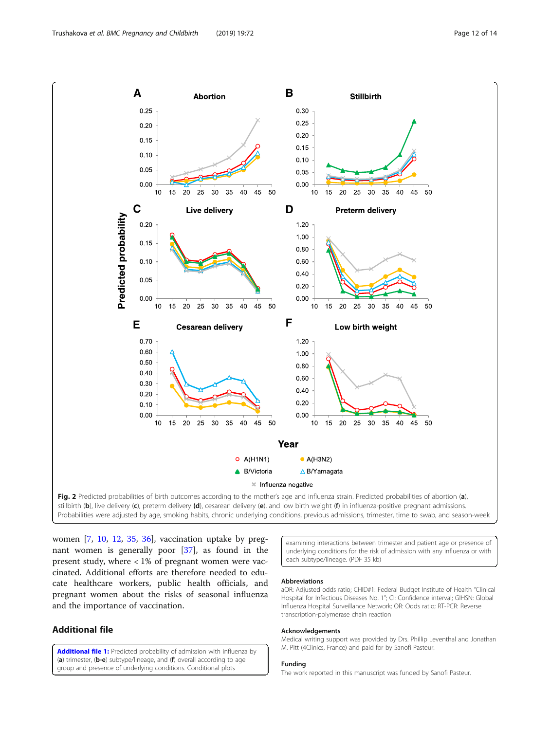<span id="page-11-0"></span>

women [\[7,](#page-12-0) [10](#page-12-0), [12](#page-12-0), [35](#page-13-0), [36\]](#page-13-0), vaccination uptake by pregnant women is generally poor [\[37\]](#page-13-0), as found in the present study, where  $<$  1% of pregnant women were vaccinated. Additional efforts are therefore needed to educate healthcare workers, public health officials, and pregnant women about the risks of seasonal influenza and the importance of vaccination.

## Additional file

[Additional file 1:](https://doi.org/10.1186/s12884-019-2192-z) Predicted probability of admission with influenza by (a) trimester, (b-e) subtype/lineage, and (f) overall according to age group and presence of underlying conditions. Conditional plots

examining interactions between trimester and patient age or presence of underlying conditions for the risk of admission with any influenza or with each subtype/lineage. (PDF 35 kb)

#### Abbreviations

aOR: Adjusted odds ratio; CHID#1: Federal Budget Institute of Health "Clinical Hospital for Infectious Diseases No. 1"; CI: Confidence interval; GIHSN: Global Influenza Hospital Surveillance Network; OR: Odds ratio; RT-PCR: Reverse transcription-polymerase chain reaction

#### Acknowledgements

Medical writing support was provided by Drs. Phillip Leventhal and Jonathan M. Pitt (4Clinics, France) and paid for by Sanofi Pasteur.

## Funding

The work reported in this manuscript was funded by Sanofi Pasteur.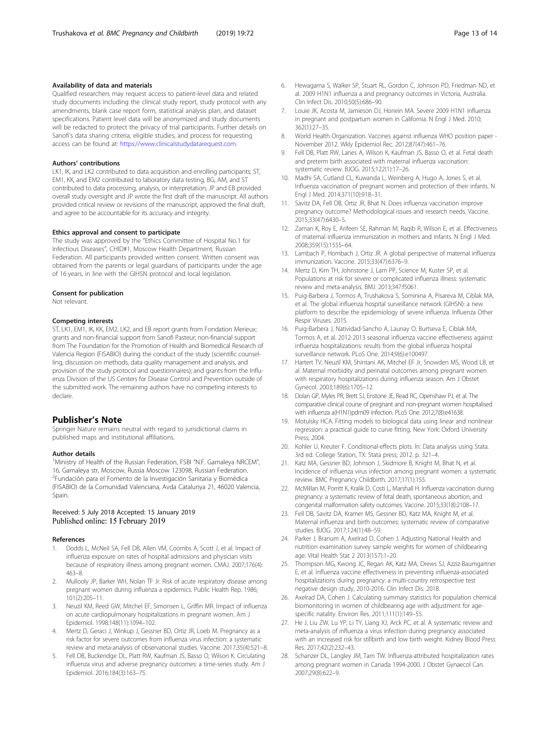#### <span id="page-12-0"></span>Availability of data and materials

Qualified researchers may request access to patient-level data and related study documents including the clinical study report, study protocol with any amendments, blank case report form, statistical analysis plan, and dataset specifications. Patient level data will be anonymized and study documents will be redacted to protect the privacy of trial participants. Further details on Sanofi's data sharing criteria, eligible studies, and process for requesting access can be found at: [https://www.clinicalstudydatarequest.com.](https://www.clinicalstudydatarequest.com)

## Authors' contributions

LK1, IK, and LK2 contributed to data acquisition and enrolling participants; ST, EM1, KK, and EM2 contributed to laboratory data testing, BG, AM, and ST contributed to data processing, analysis, or interpretation; JP and EB provided overall study oversight and JP wrote the first draft of the manuscript. All authors provided critical review or revisions of the manuscript, approved the final draft, and agree to be accountable for its accuracy and integrity.

## Ethics approval and consent to participate

The study was approved by the "Ethics Committee of Hospital No.1 for Infectious Diseases", CHID#1, Moscow Health Department, Russian Federation. All participants provided written consent. Written consent was obtained from the parents or legal guardians of participants under the age of 16 years, in line with the GIHSN protocol and local legislation.

#### Consent for publication

Not relevant.

## Competing interests

ST, LK1, EM1, IK, KK, EM2, LK2, and EB report grants from Fondation Merieux; grants and non-financial support from Sanofi Pasteur; non-financial support from The Foundation for the Promotion of Health and Biomedical Research of Valencia Region (FISABIO) during the conduct of the study (scientific counselling, discussion on methods, data quality management and analysis, and provision of the study protocol and questionnaires); and grants from the Influenza Division of the US Centers for Disease Control and Prevention outside of the submitted work. The remaining authors have no competing interests to declare.

## Publisher's Note

Springer Nature remains neutral with regard to jurisdictional claims in published maps and institutional affiliations.

#### Author details

<sup>1</sup>Ministry of Health of the Russian Federation, FSBI "N.F. Gamaleya NRCEM", 16, Gamaleya str, Moscow, Russia Moscow 123098, Russian Federation. 2 Fundación para el Fomento de la Investigación Sanitaria y Biomédica (FISABIO) de la Comunidad Valenciana, Avda Catalunya 21, 46020 Valencia, Spain.

## Received: 5 July 2018 Accepted: 15 January 2019 Published online: 15 February 2019

#### References

- 1. Dodds L, McNeil SA, Fell DB, Allen VM, Coombs A, Scott J, et al. Impact of influenza exposure on rates of hospital admissions and physician visits because of respiratory illness among pregnant women. CMAJ. 2007;176(4): 463–8.
- 2. Mullooly JP, Barker WH, Nolan TF Jr. Risk of acute respiratory disease among pregnant women during influenza a epidemics. Public Health Rep. 1986; 101(2):205–11.
- 3. Neuzil KM, Reed GW, Mitchel EF, Simonsen L, Griffin MR. Impact of influenza on acute cardiopulmonary hospitalizations in pregnant women. Am J Epidemiol. 1998;148(11):1094–102.
- 4. Mertz D, Geraci J, Winkup J, Gessner BD, Ortiz JR, Loeb M. Pregnancy as a risk factor for severe outcomes from influenza virus infection: a systematic review and meta-analysis of observational studies. Vaccine. 2017;35(4):521–8.
- 5. Fell DB, Buckeridge DL, Platt RW, Kaufman JS, Basso O, Wilson K. Circulating influenza virus and adverse pregnancy outcomes: a time-series study. Am J Epidemiol. 2016;184(3):163–75.
- 6. Hewagama S, Walker SP, Stuart RL, Gordon C, Johnson PD, Friedman ND, et al. 2009 H1N1 influenza a and pregnancy outcomes in Victoria, Australia. Clin Infect Dis. 2010;50(5):686–90.
- Louie JK, Acosta M, Jamieson DJ, Honein MA. Severe 2009 H1N1 influenza in pregnant and postpartum women in California. N Engl J Med. 2010; 362(1):27–35.
- 8. World Health Organization. Vaccines against influenza WHO position paper November 2012. Wkly Epidemiol Rec. 2012;87(47):461–76.
- 9. Fell DB, Platt RW, Lanes A, Wilson K, Kaufman JS, Basso O, et al. Fetal death and preterm birth associated with maternal influenza vaccination: systematic review. BJOG. 2015;122(1):17–26.
- 10. Madhi SA, Cutland CL, Kuwanda L, Weinberg A, Hugo A, Jones S, et al. Influenza vaccination of pregnant women and protection of their infants. N Engl J Med. 2014;371(10):918–31.
- 11. Savitz DA, Fell DB, Ortiz JR, Bhat N. Does influenza vaccination improve pregnancy outcome? Methodological issues and research needs. Vaccine. 2015;33(47):6430–5.
- 12. Zaman K, Roy E, Arifeen SE, Rahman M, Raqib R, Wilson E, et al. Effectiveness of maternal influenza immunization in mothers and infants. N Engl J Med. 2008;359(15):1555–64.
- 13. Lambach P, Hombach J, Ortiz JR. A global perspective of maternal influenza immunization. Vaccine. 2015;33(47):6376–9.
- 14. Mertz D, Kim TH, Johnstone J, Lam PP, Science M, Kuster SP, et al. Populations at risk for severe or complicated influenza illness: systematic review and meta-analysis. BMJ. 2013;347:f5061.
- 15. Puig-Barbera J, Tormos A, Trushakova S, Sominina A, Pisareva M, Ciblak MA, et al. The global influenza hospital surveillance network (GIHSN): a new platform to describe the epidemiology of severe influenza. Influenza Other Respir Viruses. 2015.
- 16. Puig-Barbera J, Natividad-Sancho A, Launay O, Burtseva E, Ciblak MA, Tormos A, et al. 2012-2013 seasonal influenza vaccine effectiveness against influenza hospitalizations: results from the global influenza hospital surveillance network. PLoS One. 2014;9(6):e100497.
- 17. Hartert TV, Neuzil KM, Shintani AK, Mitchel EF Jr, Snowden MS, Wood LB, et al. Maternal morbidity and perinatal outcomes among pregnant women with respiratory hospitalizations during influenza season. Am J Obstet Gynecol. 2003;189(6):1705–12.
- 18. Dolan GP, Myles PR, Brett SJ, Enstone JE, Read RC, Openshaw PJ, et al. The comparative clinical course of pregnant and non-pregnant women hospitalised with influenza a(H1N1)pdm09 infection. PLoS One. 2012;7(8):e41638.
- 19. Motulsky HCA. Fitting models to biological data using linear and nonlinear regression: a practical guide to curve fitting. New York: Oxford University Press; 2004.
- 20. Kohler U, Kreuter F. Conditional-effects plots. In: Data analysis using Stata. 3rd ed. College Station, TX: Stata press; 2012. p. 321–4.
- 21. Katz MA, Gessner BD, Johnson J, Skidmore B, Knight M, Bhat N, et al. Incidence of influenza virus infection among pregnant women: a systematic review. BMC Pregnancy Childbirth. 2017;17(1):155.
- 22. McMillan M, Porritt K, Kralik D, Costi L, Marshall H. Influenza vaccination during pregnancy: a systematic review of fetal death, spontaneous abortion, and congenital malformation safety outcomes. Vaccine. 2015;33(18):2108–17.
- 23. Fell DB, Savitz DA, Kramer MS, Gessner BD, Katz MA, Knight M, et al. Maternal influenza and birth outcomes: systematic review of comparative studies. BJOG. 2017;124(1):48–59.
- 24. Parker J, Branum A, Axelrad D, Cohen J. Adjusting National Health and nutrition examination survey sample weights for women of childbearing age. Vital Health Stat 2 2013(157):1–20.
- 25. Thompson MG, Kwong JC, Regan AK, Katz MA, Drews SJ, Azziz-Baumgartner E, et al. Influenza vaccine effectiveness in preventing influenza-associated hospitalizations during pregnancy: a multi-country retrospective test negative design study, 2010-2016. Clin Infect Dis. 2018.
- 26. Axelrad DA, Cohen J. Calculating summary statistics for population chemical biomonitoring in women of childbearing age with adjustment for agespecific natality. Environ Res. 2011;111(1):149–55.
- 27. He J, Liu ZW, Lu YP, Li TY, Liang XJ, Arck PC, et al. A systematic review and meta-analysis of influenza a virus infection during pregnancy associated with an increased risk for stillbirth and low birth weight. Kidney Blood Press Res. 2017;42(2):232–43.
- 28. Schanzer DL, Langley JM, Tam TW. Influenza-attributed hospitalization rates among pregnant women in Canada 1994-2000. J Obstet Gynaecol Can. 2007;29(8):622–9.